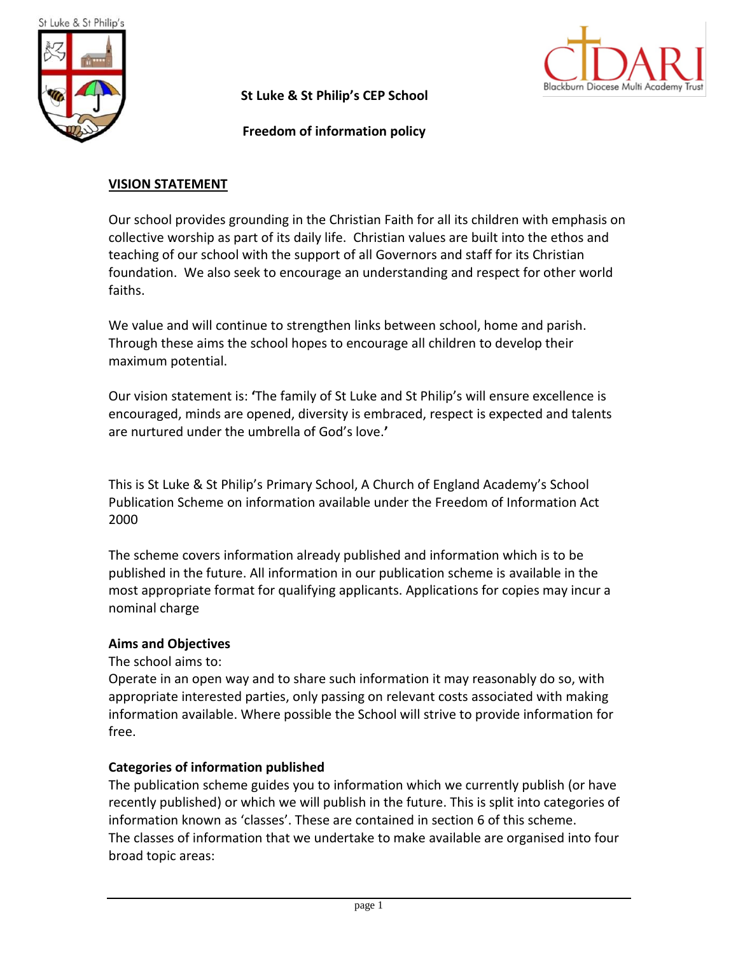

**St Luke & St Philip's CEP School**

 **Freedom of information policy**



### **VISION STATEMENT**

Our school provides grounding in the Christian Faith for all its children with emphasis on collective worship as part of its daily life. Christian values are built into the ethos and teaching of our school with the support of all Governors and staff for its Christian foundation. We also seek to encourage an understanding and respect for other world faiths.

We value and will continue to strengthen links between school, home and parish. Through these aims the school hopes to encourage all children to develop their maximum potential.

Our vision statement is: **'**The family of St Luke and St Philip's will ensure excellence is encouraged, minds are opened, diversity is embraced, respect is expected and talents are nurtured under the umbrella of God's love.**'**

This is St Luke & St Philip's Primary School, A Church of England Academy's School Publication Scheme on information available under the Freedom of Information Act 2000

The scheme covers information already published and information which is to be published in the future. All information in our publication scheme is available in the most appropriate format for qualifying applicants. Applications for copies may incur a nominal charge

#### **Aims and Objectives**

The school aims to:

Operate in an open way and to share such information it may reasonably do so, with appropriate interested parties, only passing on relevant costs associated with making information available. Where possible the School will strive to provide information for free.

#### **Categories of information published**

The publication scheme guides you to information which we currently publish (or have recently published) or which we will publish in the future. This is split into categories of information known as 'classes'. These are contained in section 6 of this scheme. The classes of information that we undertake to make available are organised into four broad topic areas: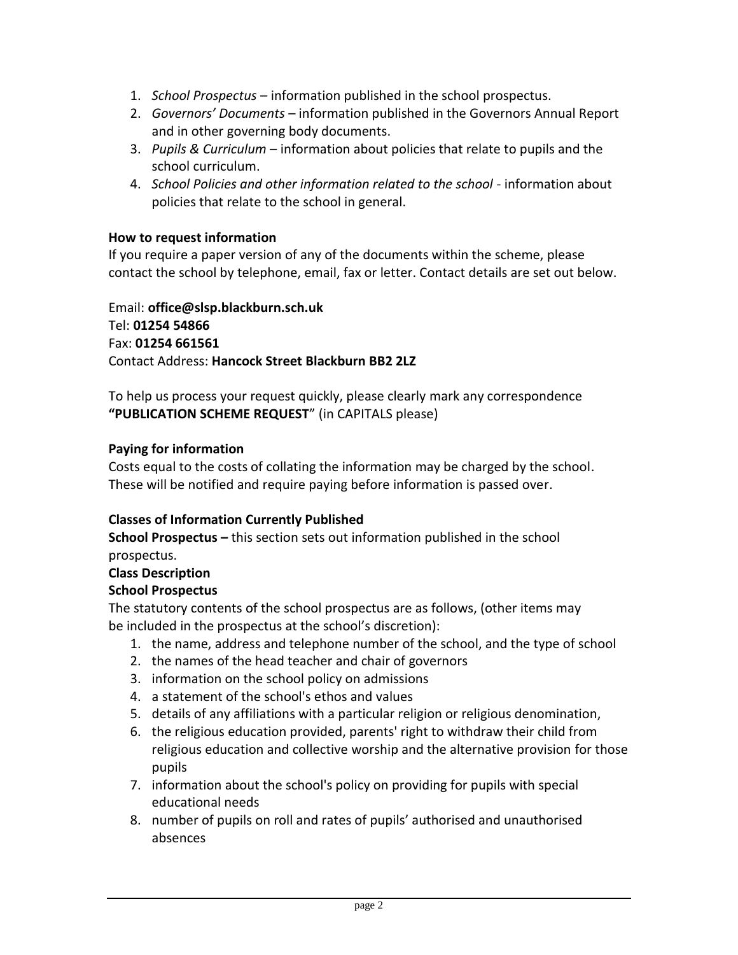- 1. *School Prospectus*  information published in the school prospectus.
- 2. *Governors' Documents*  information published in the Governors Annual Report and in other governing body documents.
- 3. *Pupils & Curriculum*  information about policies that relate to pupils and the school curriculum.
- 4. *School Policies and other information related to the school* information about policies that relate to the school in general.

## **How to request information**

If you require a paper version of any of the documents within the scheme, please contact the school by telephone, email, fax or letter. Contact details are set out below.

Email: **office@slsp.blackburn.sch.uk** Tel: **01254 54866** Fax: **01254 661561** Contact Address: **Hancock Street Blackburn BB2 2LZ**

To help us process your request quickly, please clearly mark any correspondence **"PUBLICATION SCHEME REQUEST**" (in CAPITALS please)

# **Paying for information**

Costs equal to the costs of collating the information may be charged by the school. These will be notified and require paying before information is passed over.

# **Classes of Information Currently Published**

**School Prospectus –** this section sets out information published in the school prospectus.

# **Class Description**

### **School Prospectus**

The statutory contents of the school prospectus are as follows, (other items may be included in the prospectus at the school's discretion):

- 1. the name, address and telephone number of the school, and the type of school
- 2. the names of the head teacher and chair of governors
- 3. information on the school policy on admissions
- 4. a statement of the school's ethos and values
- 5. details of any affiliations with a particular religion or religious denomination,
- 6. the religious education provided, parents' right to withdraw their child from religious education and collective worship and the alternative provision for those pupils
- 7. information about the school's policy on providing for pupils with special educational needs
- 8. number of pupils on roll and rates of pupils' authorised and unauthorised absences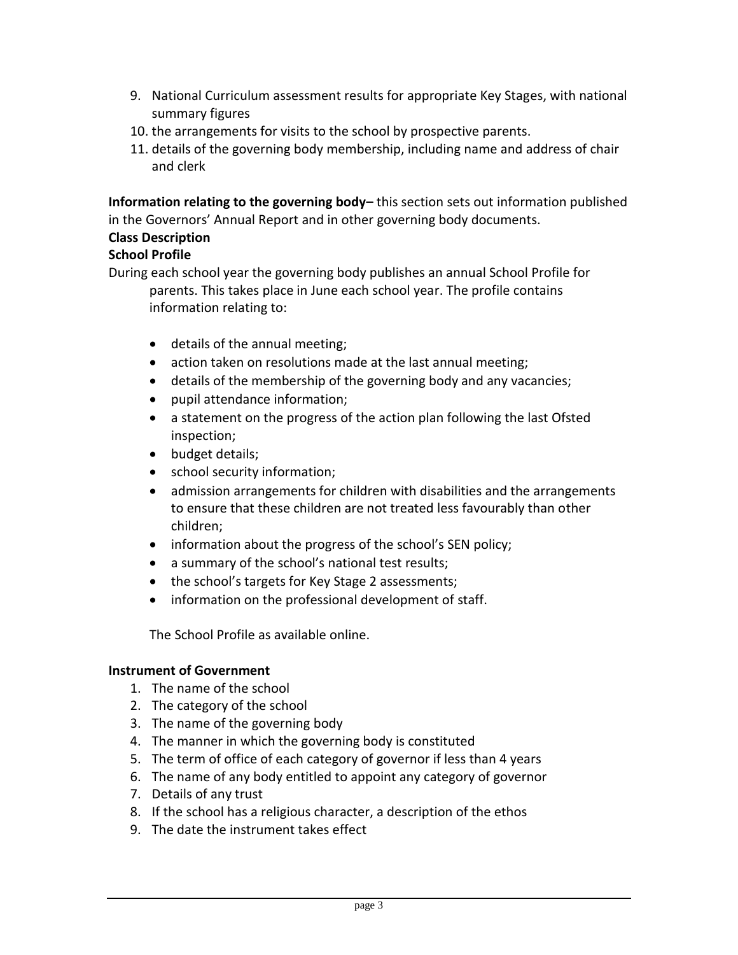- 9. National Curriculum assessment results for appropriate Key Stages, with national summary figures
- 10. the arrangements for visits to the school by prospective parents.
- 11. details of the governing body membership, including name and address of chair and clerk

**Information relating to the governing body–** this section sets out information published in the Governors' Annual Report and in other governing body documents.

## **Class Description**

# **School Profile**

During each school year the governing body publishes an annual School Profile for parents. This takes place in June each school year. The profile contains information relating to:

- details of the annual meeting;
- action taken on resolutions made at the last annual meeting;
- details of the membership of the governing body and any vacancies;
- pupil attendance information;
- a statement on the progress of the action plan following the last Ofsted inspection;
- budget details;
- school security information;
- admission arrangements for children with disabilities and the arrangements to ensure that these children are not treated less favourably than other children;
- information about the progress of the school's SEN policy;
- a summary of the school's national test results;
- the school's targets for Key Stage 2 assessments;
- information on the professional development of staff.

The School Profile as available online.

### **Instrument of Government**

- 1. The name of the school
- 2. The category of the school
- 3. The name of the governing body
- 4. The manner in which the governing body is constituted
- 5. The term of office of each category of governor if less than 4 years
- 6. The name of any body entitled to appoint any category of governor
- 7. Details of any trust
- 8. If the school has a religious character, a description of the ethos
- 9. The date the instrument takes effect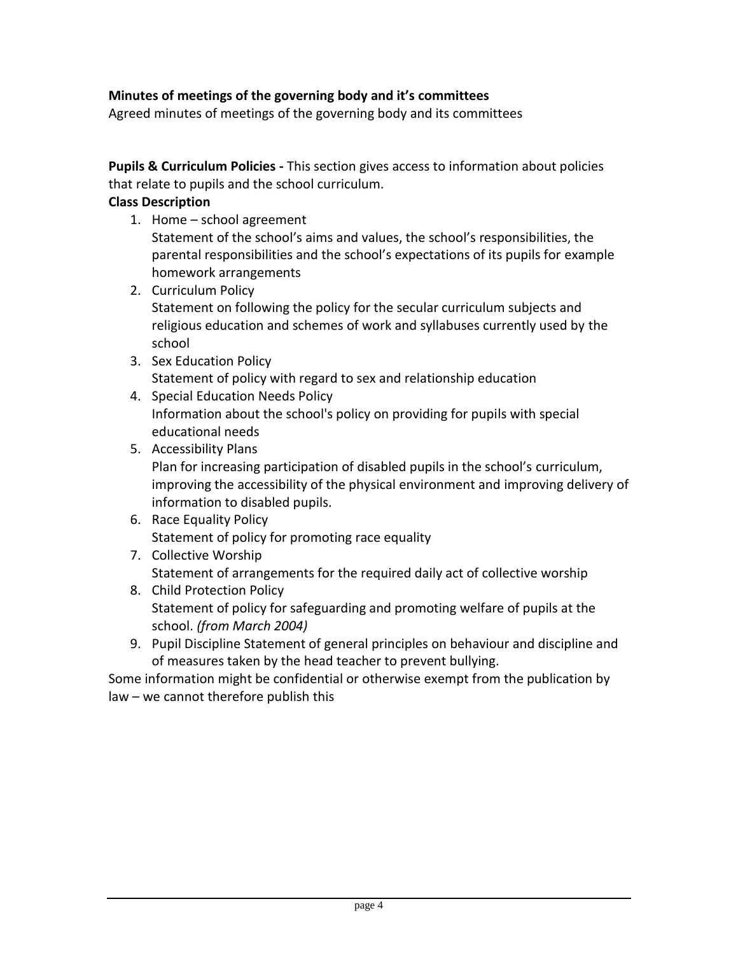# **Minutes of meetings of the governing body and it's committees**

Agreed minutes of meetings of the governing body and its committees

**Pupils & Curriculum Policies -** This section gives access to information about policies that relate to pupils and the school curriculum.

## **Class Description**

1. Home – school agreement

Statement of the school's aims and values, the school's responsibilities, the parental responsibilities and the school's expectations of its pupils for example homework arrangements

- 2. Curriculum Policy Statement on following the policy for the secular curriculum subjects and religious education and schemes of work and syllabuses currently used by the school
- 3. Sex Education Policy Statement of policy with regard to sex and relationship education
- 4. Special Education Needs Policy Information about the school's policy on providing for pupils with special educational needs
- 5. Accessibility Plans

Plan for increasing participation of disabled pupils in the school's curriculum, improving the accessibility of the physical environment and improving delivery of information to disabled pupils.

- 6. Race Equality Policy Statement of policy for promoting race equality
- 7. Collective Worship Statement of arrangements for the required daily act of collective worship
- 8. Child Protection Policy Statement of policy for safeguarding and promoting welfare of pupils at the school. *(from March 2004)*
- 9. Pupil Discipline Statement of general principles on behaviour and discipline and of measures taken by the head teacher to prevent bullying.

Some information might be confidential or otherwise exempt from the publication by law – we cannot therefore publish this